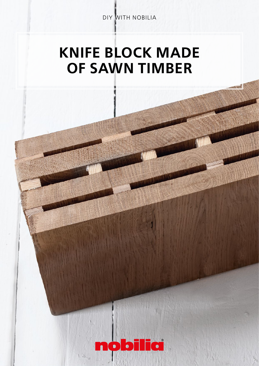DIY WITH NOBILIA

# KNIFE BLOCK MADE OF SAWN TIMBER